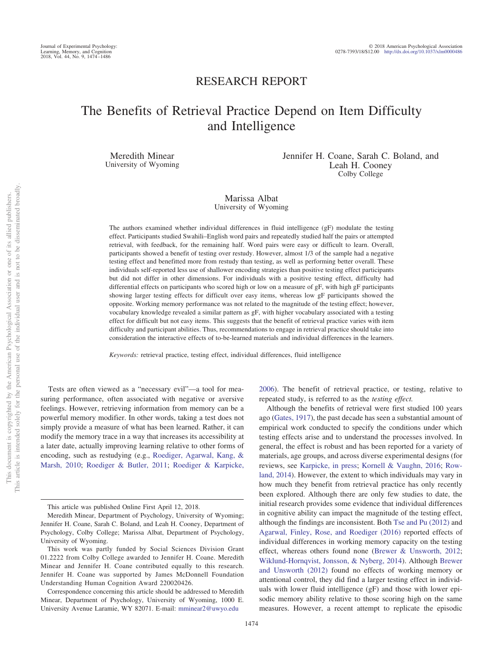# RESEARCH REPORT

# The Benefits of Retrieval Practice Depend on Item Difficulty and Intelligence

Meredith Minear University of Wyoming Jennifer H. Coane, Sarah C. Boland, and Leah H. Cooney Colby College

# Marissa Albat University of Wyoming

The authors examined whether individual differences in fluid intelligence (gF) modulate the testing effect. Participants studied Swahili–English word pairs and repeatedly studied half the pairs or attempted retrieval, with feedback, for the remaining half. Word pairs were easy or difficult to learn. Overall, participants showed a benefit of testing over restudy. However, almost 1/3 of the sample had a negative testing effect and benefitted more from restudy than testing, as well as performing better overall. These individuals self-reported less use of shallower encoding strategies than positive testing effect participants but did not differ in other dimensions. For individuals with a positive testing effect, difficulty had differential effects on participants who scored high or low on a measure of gF, with high gF participants showing larger testing effects for difficult over easy items, whereas low gF participants showed the opposite. Working memory performance was not related to the magnitude of the testing effect; however, vocabulary knowledge revealed a similar pattern as gF, with higher vocabulary associated with a testing effect for difficult but not easy items. This suggests that the benefit of retrieval practice varies with item difficulty and participant abilities. Thus, recommendations to engage in retrieval practice should take into consideration the interactive effects of to-be-learned materials and individual differences in the learners.

*Keywords:* retrieval practice, testing effect, individual differences, fluid intelligence

Tests are often viewed as a "necessary evil"—a tool for measuring performance, often associated with negative or aversive feelings. However, retrieving information from memory can be a powerful memory modifier. In other words, taking a test does not simply provide a measure of what has been learned. Rather, it can modify the memory trace in a way that increases its accessibility at a later date, actually improving learning relative to other forms of encoding, such as restudying (e.g., Roediger, Agarwal, Kang, & Marsh, 2010; Roediger & Butler, 2011; Roediger & Karpicke,

2006). The benefit of retrieval practice, or testing, relative to repeated study, is referred to as the *testing effect.*

Although the benefits of retrieval were first studied 100 years ago (Gates, 1917), the past decade has seen a substantial amount of empirical work conducted to specify the conditions under which testing effects arise and to understand the processes involved. In general, the effect is robust and has been reported for a variety of materials, age groups, and across diverse experimental designs (for reviews, see Karpicke, in press; Kornell & Vaughn, 2016; Rowland, 2014). However, the extent to which individuals may vary in how much they benefit from retrieval practice has only recently been explored. Although there are only few studies to date, the initial research provides some evidence that individual differences in cognitive ability can impact the magnitude of the testing effect, although the findings are inconsistent. Both Tse and Pu (2012) and Agarwal, Finley, Rose, and Roediger (2016) reported effects of individual differences in working memory capacity on the testing effect, whereas others found none (Brewer & Unsworth, 2012; Wiklund-Hornqvist, Jonsson, & Nyberg, 2014). Although Brewer and Unsworth (2012) found no effects of working memory or attentional control, they did find a larger testing effect in individuals with lower fluid intelligence (gF) and those with lower episodic memory ability relative to those scoring high on the same measures. However, a recent attempt to replicate the episodic

This article was published Online First April 12, 2018.

Meredith Minear, Department of Psychology, University of Wyoming; Jennifer H. Coane, Sarah C. Boland, and Leah H. Cooney, Department of Psychology, Colby College; Marissa Albat, Department of Psychology, University of Wyoming.

This work was partly funded by Social Sciences Division Grant 01.2222 from Colby College awarded to Jennifer H. Coane. Meredith Minear and Jennifer H. Coane contributed equally to this research. Jennifer H. Coane was supported by James McDonnell Foundation Understanding Human Cognition Award 220020426.

Correspondence concerning this article should be addressed to Meredith Minear, Department of Psychology, University of Wyoming, 1000 E. University Avenue Laramie, WY 82071. E-mail: mminear2@uwyo.edu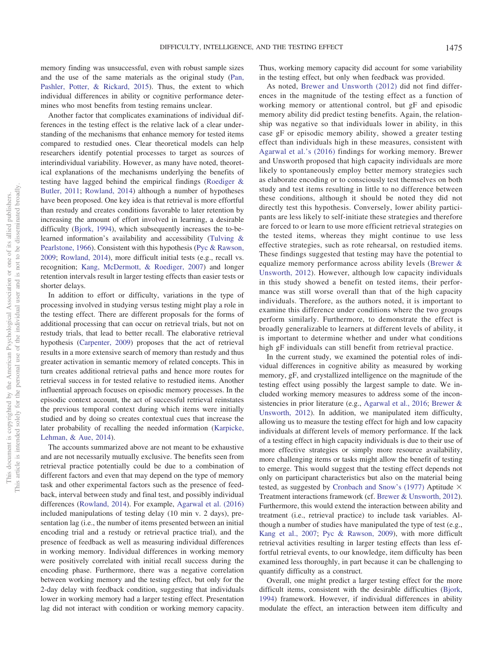memory finding was unsuccessful, even with robust sample sizes and the use of the same materials as the original study (Pan, Pashler, Potter, & Rickard, 2015). Thus, the extent to which individual differences in ability or cognitive performance determines who most benefits from testing remains unclear.

Another factor that complicates examinations of individual differences in the testing effect is the relative lack of a clear understanding of the mechanisms that enhance memory for tested items compared to restudied ones. Clear theoretical models can help researchers identify potential processes to target as sources of interindividual variability. However, as many have noted, theoretical explanations of the mechanisms underlying the benefits of testing have lagged behind the empirical findings (Roediger & Butler, 2011; Rowland, 2014) although a number of hypotheses have been proposed. One key idea is that retrieval is more effortful than restudy and creates conditions favorable to later retention by increasing the amount of effort involved in learning, a desirable difficulty (Bjork, 1994), which subsequently increases the to-belearned information's availability and accessibility (Tulving & Pearlstone, 1966). Consistent with this hypothesis (Pyc & Rawson, 2009; Rowland, 2014), more difficult initial tests (e.g., recall vs. recognition; Kang, McDermott, & Roediger, 2007) and longer retention intervals result in larger testing effects than easier tests or shorter delays.

In addition to effort or difficulty, variations in the type of processing involved in studying versus testing might play a role in the testing effect. There are different proposals for the forms of additional processing that can occur on retrieval trials, but not on restudy trials, that lead to better recall. The elaborative retrieval hypothesis (Carpenter, 2009) proposes that the act of retrieval results in a more extensive search of memory than restudy and thus greater activation in semantic memory of related concepts. This in turn creates additional retrieval paths and hence more routes for retrieval success in for tested relative to restudied items. Another influential approach focuses on episodic memory processes. In the episodic context account, the act of successful retrieval reinstates the previous temporal context during which items were initially studied and by doing so creates contextual cues that increase the later probability of recalling the needed information (Karpicke, Lehman, & Aue, 2014).

The accounts summarized above are not meant to be exhaustive and are not necessarily mutually exclusive. The benefits seen from retrieval practice potentially could be due to a combination of different factors and even that may depend on the type of memory task and other experimental factors such as the presence of feedback, interval between study and final test, and possibly individual differences (Rowland, 2014). For example, Agarwal et al. (2016) included manipulations of testing delay (10 min v. 2 days), presentation lag (i.e., the number of items presented between an initial encoding trial and a restudy or retrieval practice trial), and the presence of feedback as well as measuring individual differences in working memory. Individual differences in working memory were positively correlated with initial recall success during the encoding phase. Furthermore, there was a negative correlation between working memory and the testing effect, but only for the 2-day delay with feedback condition, suggesting that individuals lower in working memory had a larger testing effect. Presentation lag did not interact with condition or working memory capacity. Thus, working memory capacity did account for some variability in the testing effect, but only when feedback was provided.

As noted, Brewer and Unsworth (2012) did not find differences in the magnitude of the testing effect as a function of working memory or attentional control, but gF and episodic memory ability did predict testing benefits. Again, the relationship was negative so that individuals lower in ability, in this case gF or episodic memory ability, showed a greater testing effect than individuals high in these measures, consistent with Agarwal et al.'s (2016) findings for working memory. Brewer and Unsworth proposed that high capacity individuals are more likely to spontaneously employ better memory strategies such as elaborate encoding or to consciously test themselves on both study and test items resulting in little to no difference between these conditions, although it should be noted they did not directly test this hypothesis. Conversely, lower ability participants are less likely to self-initiate these strategies and therefore are forced to or learn to use more efficient retrieval strategies on the tested items, whereas they might continue to use less effective strategies, such as rote rehearsal, on restudied items. These findings suggested that testing may have the potential to equalize memory performance across ability levels (Brewer & Unsworth, 2012). However, although low capacity individuals in this study showed a benefit on tested items, their performance was still worse overall than that of the high capacity individuals. Therefore, as the authors noted, it is important to examine this difference under conditions where the two groups perform similarly. Furthermore, to demonstrate the effect is broadly generalizable to learners at different levels of ability, it is important to determine whether and under what conditions high gF individuals can still benefit from retrieval practice.

In the current study, we examined the potential roles of individual differences in cognitive ability as measured by working memory, gF, and crystallized intelligence on the magnitude of the testing effect using possibly the largest sample to date. We included working memory measures to address some of the inconsistencies in prior literature (e.g., Agarwal et al., 2016; Brewer & Unsworth, 2012). In addition, we manipulated item difficulty, allowing us to measure the testing effect for high and low capacity individuals at different levels of memory performance. If the lack of a testing effect in high capacity individuals is due to their use of more effective strategies or simply more resource availability, more challenging items or tasks might allow the benefit of testing to emerge. This would suggest that the testing effect depends not only on participant characteristics but also on the material being tested, as suggested by Cronbach and Snow's (1977) Aptitude  $\times$ Treatment interactions framework (cf. Brewer & Unsworth, 2012). Furthermore, this would extend the interaction between ability and treatment (i.e., retrieval practice) to include task variables. Although a number of studies have manipulated the type of test (e.g., Kang et al., 2007; Pyc & Rawson, 2009), with more difficult retrieval activities resulting in larger testing effects than less effortful retrieval events, to our knowledge, item difficulty has been examined less thoroughly, in part because it can be challenging to quantify difficulty as a construct.

Overall, one might predict a larger testing effect for the more difficult items, consistent with the desirable difficulties (Bjork, 1994) framework. However, if individual differences in ability modulate the effect, an interaction between item difficulty and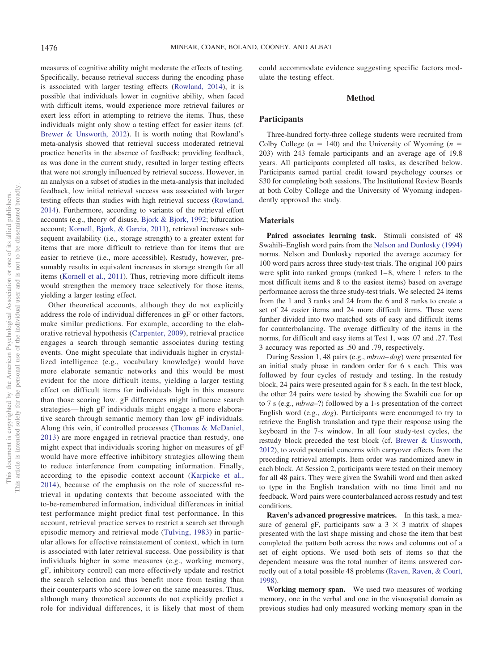measures of cognitive ability might moderate the effects of testing. Specifically, because retrieval success during the encoding phase is associated with larger testing effects (Rowland, 2014), it is possible that individuals lower in cognitive ability, when faced with difficult items, would experience more retrieval failures or exert less effort in attempting to retrieve the items. Thus, these individuals might only show a testing effect for easier items (cf. Brewer & Unsworth, 2012). It is worth noting that Rowland's meta-analysis showed that retrieval success moderated retrieval practice benefits in the absence of feedback; providing feedback, as was done in the current study, resulted in larger testing effects that were not strongly influenced by retrieval success. However, in an analysis on a subset of studies in the meta-analysis that included feedback, low initial retrieval success was associated with larger testing effects than studies with high retrieval success (Rowland, 2014). Furthermore, according to variants of the retrieval effort accounts (e.g., theory of disuse, Bjork & Bjork, 1992; bifurcation account; Kornell, Bjork, & Garcia, 2011), retrieval increases subsequent availability (i.e., storage strength) to a greater extent for items that are more difficult to retrieve than for items that are easier to retrieve (i.e., more accessible). Restudy, however, presumably results in equivalent increases in storage strength for all items (Kornell et al., 2011). Thus, retrieving more difficult items would strengthen the memory trace selectively for those items, yielding a larger testing effect.

Other theoretical accounts, although they do not explicitly address the role of individual differences in gF or other factors, make similar predictions. For example, according to the elaborative retrieval hypothesis (Carpenter, 2009), retrieval practice engages a search through semantic associates during testing events. One might speculate that individuals higher in crystallized intelligence (e.g., vocabulary knowledge) would have more elaborate semantic networks and this would be most evident for the more difficult items, yielding a larger testing effect on difficult items for individuals high in this measure than those scoring low. gF differences might influence search strategies— high gF individuals might engage a more elaborative search through semantic memory than low gF individuals. Along this vein, if controlled processes (Thomas & McDaniel, 2013) are more engaged in retrieval practice than restudy, one might expect that individuals scoring higher on measures of gF would have more effective inhibitory strategies allowing them to reduce interference from competing information. Finally, according to the episodic context account (Karpicke et al., 2014), because of the emphasis on the role of successful retrieval in updating contexts that become associated with the to-be-remembered information, individual differences in initial test performance might predict final test performance. In this account, retrieval practice serves to restrict a search set through episodic memory and retrieval mode (Tulving, 1983) in particular allows for effective reinstatement of context, which in turn is associated with later retrieval success. One possibility is that individuals higher in some measures (e.g., working memory, gF, inhibitory control) can more effectively update and restrict the search selection and thus benefit more from testing than their counterparts who score lower on the same measures. Thus, although many theoretical accounts do not explicitly predict a role for individual differences, it is likely that most of them could accommodate evidence suggesting specific factors modulate the testing effect.

### **Method**

#### **Participants**

Three-hundred forty-three college students were recruited from Colby College ( $n = 140$ ) and the University of Wyoming ( $n =$ 203) with 243 female participants and an average age of 19.8 years. All participants completed all tasks, as described below. Participants earned partial credit toward psychology courses or \$30 for completing both sessions. The Institutional Review Boards at both Colby College and the University of Wyoming independently approved the study.

#### **Materials**

**Paired associates learning task.** Stimuli consisted of 48 Swahili–English word pairs from the Nelson and Dunlosky (1994) norms. Nelson and Dunlosky reported the average accuracy for 100 word pairs across three study-test trials. The original 100 pairs were split into ranked groups (ranked  $1-8$ , where 1 refers to the most difficult items and 8 to the easiest items) based on average performance across the three study-test trials. We selected 24 items from the 1 and 3 ranks and 24 from the 6 and 8 ranks to create a set of 24 easier items and 24 more difficult items. These were further divided into two matched sets of easy and difficult items for counterbalancing. The average difficulty of the items in the norms, for difficult and easy items at Test 1, was .07 and .27. Test 3 accuracy was reported as .50 and .79, respectively.

During Session 1, 48 pairs (e.g., *mbwa– dog*) were presented for an initial study phase in random order for 6 s each. This was followed by four cycles of restudy and testing. In the restudy block, 24 pairs were presented again for 8 s each. In the test block, the other 24 pairs were tested by showing the Swahili cue for up to 7 s (e.g., *mbwa*–?) followed by a 1-s presentation of the correct English word (e.g., *dog*). Participants were encouraged to try to retrieve the English translation and type their response using the keyboard in the 7-s window. In all four study-test cycles, the restudy block preceded the test block (cf. Brewer & Unsworth, 2012), to avoid potential concerns with carryover effects from the preceding retrieval attempts. Item order was randomized anew in each block. At Session 2, participants were tested on their memory for all 48 pairs. They were given the Swahili word and then asked to type in the English translation with no time limit and no feedback. Word pairs were counterbalanced across restudy and test conditions.

**Raven's advanced progressive matrices.** In this task, a measure of general gF, participants saw a  $3 \times 3$  matrix of shapes presented with the last shape missing and chose the item that best completed the pattern both across the rows and columns out of a set of eight options. We used both sets of items so that the dependent measure was the total number of items answered correctly out of a total possible 48 problems (Raven, Raven, & Court, 1998).

**Working memory span.** We used two measures of working memory, one in the verbal and one in the visuospatial domain as previous studies had only measured working memory span in the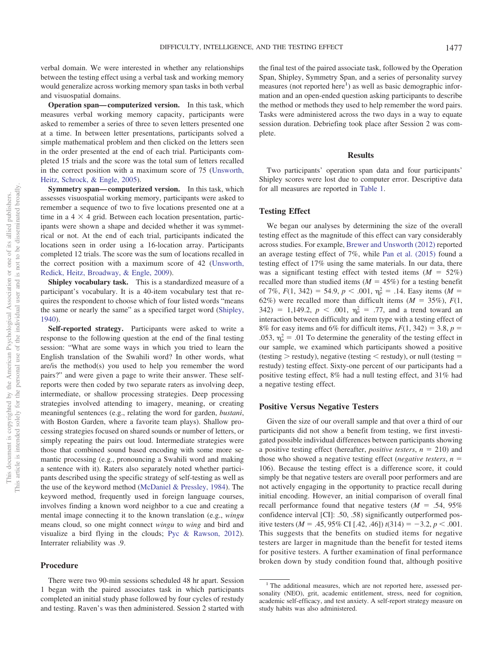verbal domain. We were interested in whether any relationships between the testing effect using a verbal task and working memory would generalize across working memory span tasks in both verbal and visuospatial domains.

**Operation span— computerized version.** In this task, which measures verbal working memory capacity, participants were asked to remember a series of three to seven letters presented one at a time. In between letter presentations, participants solved a simple mathematical problem and then clicked on the letters seen in the order presented at the end of each trial. Participants completed 15 trials and the score was the total sum of letters recalled in the correct position with a maximum score of 75 (Unsworth, Heitz, Schrock, & Engle, 2005).

**Symmetry span— computerized version.** In this task, which assesses visuospatial working memory, participants were asked to remember a sequence of two to five locations presented one at a time in a  $4 \times 4$  grid. Between each location presentation, participants were shown a shape and decided whether it was symmetrical or not. At the end of each trial, participants indicated the locations seen in order using a 16-location array. Participants completed 12 trials. The score was the sum of locations recalled in the correct position with a maximum score of 42 (Unsworth, Redick, Heitz, Broadway, & Engle, 2009).

**Shipley vocabulary task.** This is a standardized measure of a participant's vocabulary. It is a 40-item vocabulary test that requires the respondent to choose which of four listed words "means the same or nearly the same" as a specified target word (Shipley, 1940).

**Self-reported strategy.** Participants were asked to write a response to the following question at the end of the final testing session: "What are some ways in which you tried to learn the English translation of the Swahili word? In other words, what are/is the method(s) you used to help you remember the word pairs?" and were given a page to write their answer. These selfreports were then coded by two separate raters as involving deep, intermediate, or shallow processing strategies. Deep processing strategies involved attending to imagery, meaning, or creating meaningful sentences (e.g., relating the word for garden, *bustani*, with Boston Garden, where a favorite team plays). Shallow processing strategies focused on shared sounds or number of letters, or simply repeating the pairs out loud. Intermediate strategies were those that combined sound based encoding with some more semantic processing (e.g., pronouncing a Swahili word and making a sentence with it). Raters also separately noted whether participants described using the specific strategy of self-testing as well as the use of the keyword method (McDaniel & Pressley, 1984). The keyword method, frequently used in foreign language courses, involves finding a known word neighbor to a cue and creating a mental image connecting it to the known translation (e.g., *wingu* means cloud, so one might connect *wingu* to *wing* and bird and visualize a bird flying in the clouds; Pyc & Rawson, 2012). Interrater reliability was .9.

#### **Procedure**

There were two 90-min sessions scheduled 48 hr apart. Session 1 began with the paired associates task in which participants completed an initial study phase followed by four cycles of restudy and testing. Raven's was then administered. Session 2 started with

the final test of the paired associate task, followed by the Operation Span, Shipley, Symmetry Span, and a series of personality survey measures (not reported here<sup>1</sup>) as well as basic demographic information and an open-ended question asking participants to describe the method or methods they used to help remember the word pairs. Tasks were administered across the two days in a way to equate session duration. Debriefing took place after Session 2 was complete.

#### **Results**

Two participants' operation span data and four participants' Shipley scores were lost due to computer error. Descriptive data for all measures are reported in Table 1.

#### **Testing Effect**

We began our analyses by determining the size of the overall testing effect as the magnitude of this effect can vary considerably across studies. For example, Brewer and Unsworth (2012) reported an average testing effect of 7%, while Pan et al. (2015) found a testing effect of 17% using the same materials. In our data, there was a significant testing effect with tested items  $(M = 52\%)$ recalled more than studied items ( $M = 45\%$ ) for a testing benefit of 7%,  $F(1, 342) = 54.9, p < .001, \eta_p^2 = .14$ . Easy items (*M* = 62%) were recalled more than difficult items  $(M = 35\%)$ ,  $F(1)$ , 342) = 1,149.2,  $p < .001$ ,  $\eta_p^2 = .77$ , and a trend toward an interaction between difficulty and item type with a testing effect of 8% for easy items and 6% for difficult items,  $F(1, 342) = 3.8$ ,  $p =$ .053,  $\eta_p^2 = .01$  To determine the generality of the testing effect in our sample, we examined which participants showed a positive (testing  $>$  restudy), negative (testing  $<$  restudy), or null (testing  $=$ restudy) testing effect. Sixty-one percent of our participants had a positive testing effect, 8% had a null testing effect, and 31% had a negative testing effect.

#### **Positive Versus Negative Testers**

Given the size of our overall sample and that over a third of our participants did not show a benefit from testing, we first investigated possible individual differences between participants showing a positive testing effect (hereafter, *positive testers*,  $n = 210$ ) and those who showed a negative testing effect (*negative testers*,  $n =$ 106). Because the testing effect is a difference score, it could simply be that negative testers are overall poor performers and are not actively engaging in the opportunity to practice recall during initial encoding. However, an initial comparison of overall final recall performance found that negative testers  $(M = .54, 95\%)$ confidence interval [CI]: .50, .58) significantly outperformed positive testers ( $M = .45, 95\%$  CI [.42, .46])  $t(314) = -3.2, p < .001$ . This suggests that the benefits on studied items for negative testers are larger in magnitude than the benefit for tested items for positive testers. A further examination of final performance broken down by study condition found that, although positive

<sup>&</sup>lt;sup>1</sup> The additional measures, which are not reported here, assessed personality (NEO), grit, academic entitlement, stress, need for cognition, academic self-efficacy, and test anxiety. A self-report strategy measure on study habits was also administered.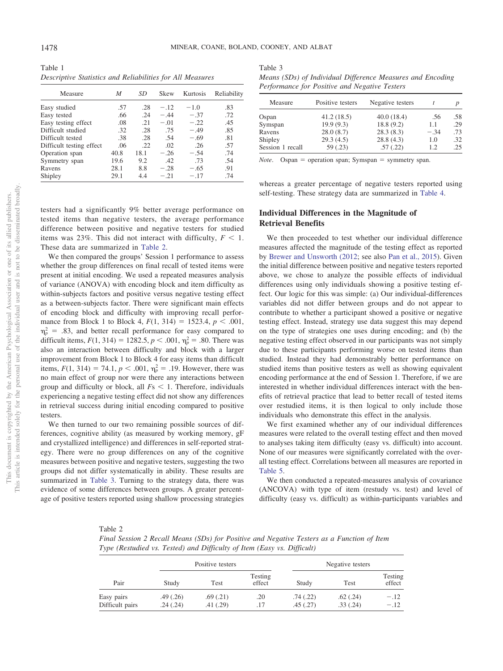| Table 1 |  |                                                           |  |
|---------|--|-----------------------------------------------------------|--|
|         |  | Descriptive Statistics and Reliabilities for All Measures |  |

| Measure                  | М    | SD   | Skew   | Kurtosis | Reliability |
|--------------------------|------|------|--------|----------|-------------|
| Easy studied             | .57  | .28  | $-.12$ | $-1.0$   | .83         |
| Easy tested              | .66  | .24  | $-.44$ | $-.37$   | .72         |
| Easy testing effect      | .08  | .21  | $-.01$ | $-.22$   | .45         |
| Difficult studied        | .32  | .28  | .75    | $-.49$   | .85         |
| Difficult tested         | .38  | .28  | .54    | $-.69$   | .81         |
| Difficult testing effect | .06  | .22  | .02    | .26      | .57         |
| Operation span           | 40.8 | 18.1 | $-.26$ | $-.54$   | .74         |
| Symmetry span            | 19.6 | 9.2  | .42    | .73      | .54         |
| Ravens                   | 28.1 | 8.8  | $-.28$ | $-.65$   | .91         |
| Shipley                  | 29.1 | 4.4  | $-.21$ | $-.17$   | .74         |

testers had a significantly 9% better average performance on tested items than negative testers, the average performance difference between positive and negative testers for studied items was 23%. This did not interact with difficulty,  $F < 1$ . These data are summarized in Table 2.

We then compared the groups' Session 1 performance to assess whether the group differences on final recall of tested items were present at initial encoding. We used a repeated measures analysis of variance (ANOVA) with encoding block and item difficulty as within-subjects factors and positive versus negative testing effect as a between-subjects factor. There were significant main effects of encoding block and difficulty with improving recall performance from Block 1 to Block 4,  $F(1, 314) = 1523.4$ ,  $p < .001$ ,  $\eta_p^2$  = .83, and better recall performance for easy compared to difficult items,  $F(1, 314) = 1282.5, p < .001, \eta_p^2 = .80$ . There was also an interaction between difficulty and block with a larger improvement from Block 1 to Block 4 for easy items than difficult items,  $F(1, 314) = 74.1$ ,  $p < .001$ ,  $\eta_p^2 = .19$ . However, there was no main effect of group nor were there any interactions between group and difficulty or block, all  $Fs < 1$ . Therefore, individuals experiencing a negative testing effect did not show any differences in retrieval success during initial encoding compared to positive testers.

We then turned to our two remaining possible sources of differences, cognitive ability (as measured by working memory, gF and crystallized intelligence) and differences in self-reported strategy. There were no group differences on any of the cognitive measures between positive and negative testers, suggesting the two groups did not differ systematically in ability. These results are summarized in Table 3. Turning to the strategy data, there was evidence of some differences between groups. A greater percentage of positive testers reported using shallow processing strategies

Table 3 *Means (SDs) of Individual Difference Measures and Encoding*

| Means (SDs) of Individual Difference Measures and Encoding |  |  |
|------------------------------------------------------------|--|--|
| Performance for Positive and Negative Testers              |  |  |

| Measure          | Positive testers | Negative testers |        |     |
|------------------|------------------|------------------|--------|-----|
| Ospan            | 41.2(18.5)       | 40.0(18.4)       | .56    | .58 |
| Symspan          | 19.9(9.3)        | 18.8(9.2)        | 1.1    | .29 |
| Ravens           | 28.0(8.7)        | 28.3(8.3)        | $-.34$ | .73 |
| Shipley          | 29.3(4.5)        | 28.8(4.3)        | 1.0    | .32 |
| Session 1 recall | 59(.23)          | .57(.22)         | 1.2    | .25 |

*Note*. Ospan = operation span; Symspan = symmetry span.

whereas a greater percentage of negative testers reported using self-testing. These strategy data are summarized in Table 4.

# **Individual Differences in the Magnitude of Retrieval Benefits**

We then proceeded to test whether our individual difference measures affected the magnitude of the testing effect as reported by Brewer and Unsworth (2012; see also Pan et al., 2015). Given the initial difference between positive and negative testers reported above, we chose to analyze the possible effects of individual differences using only individuals showing a positive testing effect. Our logic for this was simple: (a) Our individual-differences variables did not differ between groups and do not appear to contribute to whether a participant showed a positive or negative testing effect. Instead, strategy use data suggest this may depend on the type of strategies one uses during encoding; and (b) the negative testing effect observed in our participants was not simply due to these participants performing worse on tested items than studied. Instead they had demonstrably better performance on studied items than positive testers as well as showing equivalent encoding performance at the end of Session 1. Therefore, if we are interested in whether individual differences interact with the benefits of retrieval practice that lead to better recall of tested items over restudied items, it is then logical to only include those individuals who demonstrate this effect in the analysis.

We first examined whether any of our individual differences measures were related to the overall testing effect and then moved to analyses taking item difficulty (easy vs. difficult) into account. None of our measures were significantly correlated with the overall testing effect. Correlations between all measures are reported in Table 5.

We then conducted a repeated-measures analysis of covariance (ANCOVA) with type of item (restudy vs. test) and level of difficulty (easy vs. difficult) as within-participants variables and

| Table 2                                                                                    |
|--------------------------------------------------------------------------------------------|
| Final Session 2 Recall Means (SDs) for Positive and Negative Testers as a Function of Item |
| Type (Restudied vs. Tested) and Difficulty of Item (Easy vs. Difficult)                    |

|                               |                      | Positive testers      |                   |                      | Negative testers     |                   |  |  |
|-------------------------------|----------------------|-----------------------|-------------------|----------------------|----------------------|-------------------|--|--|
| Pair                          | Study                | Test                  | Testing<br>effect | Study                | Test                 | Testing<br>effect |  |  |
| Easy pairs<br>Difficult pairs | .49(.26)<br>.24(.24) | .69(0.21)<br>.41(.29) | .20<br>.17        | .74(.22)<br>.45(.27) | .62(.24)<br>.33(.24) | $-.12$<br>$-.12$  |  |  |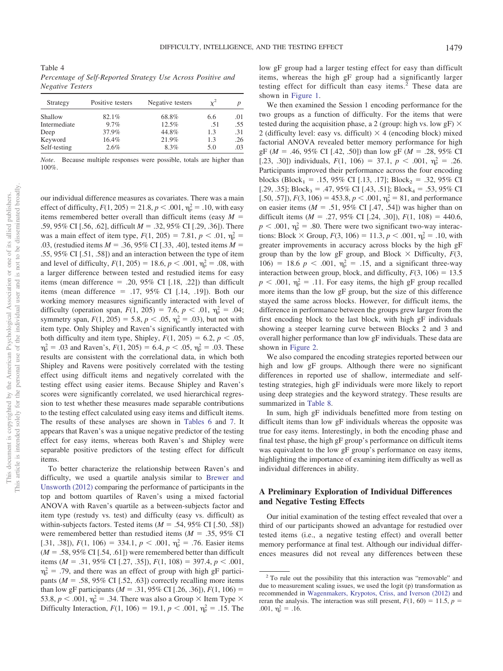Table 4 *Percentage of Self-Reported Strategy Use Across Positive and Negative Testers*

| Strategy     | Positive testers | Negative testers |     |     |
|--------------|------------------|------------------|-----|-----|
| Shallow      | 82.1%            | 68.8%            | 6.6 | .01 |
| Intermediate | $9.7\%$          | 12.5%            | .51 | .55 |
| Deep         | 37.9%            | 44.8%            | 1.3 | .31 |
| Keyword      | 16.4%            | 21.9%            | 1.3 | .26 |
| Self-testing | 2.6%             | 8.3%             | 5.0 | .03 |

*Note*. Because multiple responses were possible, totals are higher than 100%.

our individual difference measures as covariates. There was a main effect of difficulty,  $F(1, 205) = 21.8$ ,  $p < .001$ ,  $\eta_p^2 = .10$ , with easy items remembered better overall than difficult items (easy *M* .59, 95% CI [.56, .62], difficult *M* = .32, 95% CI [.29, .36]). There was a main effect of item type,  $F(1, 205) = 7.81$ ,  $p < .01$ ,  $\eta_p^2 =$ .03, (restudied items  $M = .36, 95\%$  CI [.33, .40], tested items  $M =$ .55, 95% CI [.51, .58]) and an interaction between the type of item and level of difficulty,  $F(1, 205) = 18.6, p < .001, \eta_p^2 = .08$ , with a larger difference between tested and restudied items for easy items (mean difference  $= .20, 95\%$  CI [.18, .22]) than difficult items (mean difference  $=$  .17, 95% CI [.14, .19]). Both our working memory measures significantly interacted with level of difficulty (operation span,  $F(1, 205) = 7.6$ ,  $p < .01$ ,  $\eta_p^2 = .04$ ; symmetry span,  $F(1, 205) = 5.8$ ,  $p < .05$ ,  $\eta_p^2 = .03$ ), but not with item type. Only Shipley and Raven's significantly interacted with both difficulty and item type, Shipley,  $F(1, 205) = 6.2$ ,  $p < .05$ ,  $p_p^2 = .03$  and Raven's,  $F(1, 205) = 6.4$ ,  $p < .05$ ,  $p_p^2 = .03$ . These results are consistent with the correlational data, in which both Shipley and Ravens were positively correlated with the testing effect using difficult items and negatively correlated with the testing effect using easier items. Because Shipley and Raven's scores were significantly correlated, we used hierarchical regression to test whether these measures made separable contributions to the testing effect calculated using easy items and difficult items. The results of these analyses are shown in Tables 6 and 7. It appears that Raven's was a unique negative predictor of the testing effect for easy items, whereas both Raven's and Shipley were separable positive predictors of the testing effect for difficult items.

To better characterize the relationship between Raven's and difficulty, we used a quartile analysis similar to Brewer and Unsworth (2012) comparing the performance of participants in the top and bottom quartiles of Raven's using a mixed factorial ANOVA with Raven's quartile as a between-subjects factor and item type (restudy vs. test) and difficulty (easy vs. difficult) as within-subjects factors. Tested items  $(M = .54, 95\% \text{ CI} [0.50, .58])$ were remembered better than restudied items ( $M = .35, 95\%$  CI [.31, .38]),  $F(1, 106) = 334.1$ ,  $p < .001$ ,  $\eta_p^2 = .76$ . Easier items  $(M = .58, 95\% \text{ CI}$  [.54, .61]) were remembered better than difficult items ( $M = .31, 95\%$  CI [.27, .35]),  $F(1, 108) = 397.4, p < .001$ ,  $\eta_p^2$  = .79, and there was an effect of group with high gF participants ( $M = .58$ , 95% CI [.52, .63]) correctly recalling more items than low gF participants ( $M = .31, 95\%$  CI [.26, .36]),  $F(1, 106) =$ 53.8,  $p < .001$ ,  $\eta_p^2 = .34$ . There was also a Group  $\times$  Item Type  $\times$ Difficulty Interaction,  $F(1, 106) = 19.1$ ,  $p < .001$ ,  $\eta_p^2 = .15$ . The

low gF group had a larger testing effect for easy than difficult items, whereas the high gF group had a significantly larger testing effect for difficult than easy items.<sup>2</sup> These data are shown in Figure 1.

We then examined the Session 1 encoding performance for the two groups as a function of difficulty. For the items that were tested during the acquisition phase, a 2 (group: high vs. low gF)  $\times$ 2 (difficulty level: easy vs. difficult)  $\times$  4 (encoding block) mixed factorial ANOVA revealed better memory performance for high gF ( $M = .46, 95\%$  CI [.42, .50]) than low gF ( $M = .28, 95\%$  CI [.23, .30]) individuals,  $F(1, 106) = 37.1$ ,  $p < .001$ ,  $\eta_p^2 = .26$ . Participants improved their performance across the four encoding blocks (Block<sub>1</sub> = .15, 95% CI [.13, .17]; Block<sub>2</sub> = .32, 95% CI [.29, .35]; Block<sub>3</sub> = .47, 95% CI [.43, .51]; Block<sub>4</sub> = .53, 95% CI [.50, .57]),  $F(3, 106) = 453.8, p < .001, \eta_p^2 = 81$ , and performance on easier items ( $M = .51, 95\%$  CI [.47, .54]) was higher than on difficult items ( $M = .27, 95\%$  CI [.24, .30]),  $F(1, 108) = 440.6$ ,  $p < .001$ ,  $\eta_p^2 = .80$ . There were two significant two-way interactions: Block  $\times$  Group,  $F(3, 106) = 11.3$ ,  $p < .001$ ,  $\eta_p^2 = .10$ , with greater improvements in accuracy across blocks by the high gF group than by the low gF group, and Block  $\times$  Difficulty,  $F(3, 1)$ 106) = 18.6  $p < .001$ ,  $\eta_p^2 = .15$ , and a significant three-way interaction between group, block, and difficulty,  $F(3, 106) = 13.5$  $p < .001$ ,  $\eta_p^2 = .11$ . For easy items, the high gF group recalled more items than the low gF group, but the size of this difference stayed the same across blocks. However, for difficult items, the difference in performance between the groups grew larger from the first encoding block to the last block, with high gF individuals showing a steeper learning curve between Blocks 2 and 3 and overall higher performance than low gF individuals. These data are shown in Figure 2.

We also compared the encoding strategies reported between our high and low gF groups. Although there were no significant differences in reported use of shallow, intermediate and selftesting strategies, high gF individuals were more likely to report using deep strategies and the keyword strategy. These results are summarized in Table 8.

In sum, high gF individuals benefitted more from testing on difficult items than low gF individuals whereas the opposite was true for easy items. Interestingly, in both the encoding phase and final test phase, the high gF group's performance on difficult items was equivalent to the low gF group's performance on easy items, highlighting the importance of examining item difficulty as well as individual differences in ability.

# **A Preliminary Exploration of Individual Differences and Negative Testing Effects**

Our initial examination of the testing effect revealed that over a third of our participants showed an advantage for restudied over tested items (i.e., a negative testing effect) and overall better memory performance at final test. Although our individual differences measures did not reveal any differences between these

<sup>&</sup>lt;sup>2</sup> To rule out the possibility that this interaction was "removable" and due to measurement scaling issues, we used the logit (p) transformation as recommended in Wagenmakers, Krypotos, Criss, and Iverson (2012) and reran the analysis. The interaction was still present,  $F(1, 60) = 11.5$ ,  $p =$ .001,  $\eta_p^2 = .16$ .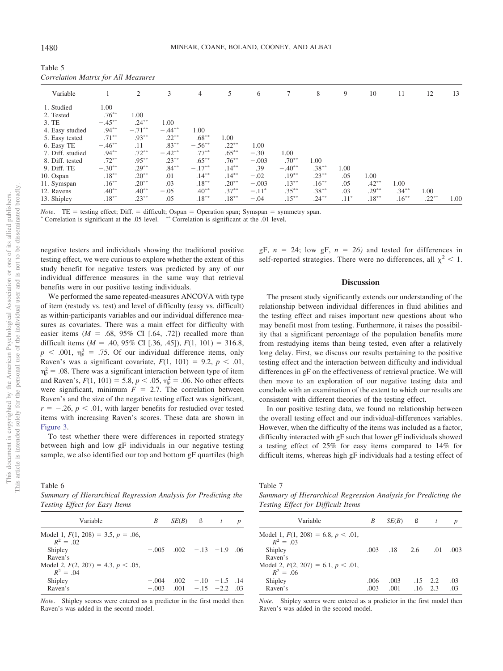| Table 5                             |  |  |
|-------------------------------------|--|--|
| Correlation Matrix for All Measures |  |  |

| Variable         |           | 2         | 3         | $\overline{4}$ | 5        | 6       | $7\phantom{.0}$ | 8        | 9      | 10       | 11       | 12       | 13   |
|------------------|-----------|-----------|-----------|----------------|----------|---------|-----------------|----------|--------|----------|----------|----------|------|
| 1. Studied       | 1.00      |           |           |                |          |         |                 |          |        |          |          |          |      |
| 2. Tested        | $.76***$  | 1.00      |           |                |          |         |                 |          |        |          |          |          |      |
| 3. TE            | $-.45***$ | $.24***$  | 1.00      |                |          |         |                 |          |        |          |          |          |      |
| 4. Easy studied  | $.94***$  | $-.71***$ | $-.44***$ | 1.00           |          |         |                 |          |        |          |          |          |      |
| 5. Easy tested   | $.71***$  | $.93***$  | $.22***$  | $.68***$       | 1.00     |         |                 |          |        |          |          |          |      |
| 6. Easy TE       | $-.46**$  | .11       | $.83***$  | $-.56***$      | $.22***$ | 1.00    |                 |          |        |          |          |          |      |
| 7. Diff. studied | $.94***$  | $.72***$  | $-.42**$  | $.77***$       | $.65***$ | $-.30$  | 1.00            |          |        |          |          |          |      |
| 8. Diff. tested  | $.72***$  | $.95***$  | $.23***$  | $.65***$       | $.76***$ | $-.003$ | $.70**$         | 1.00     |        |          |          |          |      |
| 9. Diff. TE      | $-.30**$  | $.29***$  | $.84***$  | $-.17**$       | $.14***$ | .39     | $-.40**$        | $.38***$ | 1.00   |          |          |          |      |
| 10. Ospan        | $.18***$  | $.20**$   | .01       | $.14***$       | $.14***$ | $-.02$  | $.19***$        | $.23***$ | .05    | 1.00     |          |          |      |
| 11. Symspan      | $.16***$  | $.20**$   | .03       | $.18***$       | $.20**$  | $-.003$ | $.13***$        | $.16***$ | .05    | $.42***$ | 1.00     |          |      |
| 12. Ravens       | $.40**$   | $.40**$   | $-.05$    | $.40**$        | $.37***$ | $-.11*$ | $.35***$        | $.38***$ | .03    | $.29***$ | $.34***$ | 1.00     |      |
| 13. Shipley      | $.18***$  | $.23***$  | .05       | $.18***$       | $.18***$ | $-.04$  | $.15***$        | $.24***$ | $.11*$ | $.18***$ | $.16***$ | $.22***$ | 1.00 |

*Note*. TE = testing effect; Diff. = difficult; Ospan = Operation span; Symspan = symmetry span.

 Correlation is significant at the .05 level. -- Correlation is significant at the .01 level.

negative testers and individuals showing the traditional positive testing effect, we were curious to explore whether the extent of this study benefit for negative testers was predicted by any of our individual difference measures in the same way that retrieval benefits were in our positive testing individuals.

We performed the same repeated-measures ANCOVA with type of item (restudy vs. test) and level of difficulty (easy vs. difficult) as within-participants variables and our individual difference measures as covariates. There was a main effect for difficulty with easier items ( $M = .68, 95\%$  CI [.64, .72]) recalled more than difficult items ( $M = .40, 95\%$  CI [.36, .45]),  $F(1, 101) = 316.8$ ,  $p$  < .001,  $\eta_p^2$  = .75. Of our individual difference items, only Raven's was a significant covariate,  $F(1, 101) = 9.2$ ,  $p < .01$ ,  $\eta_p^2 = 0.08$ . There was a significant interaction between type of item and Raven's,  $F(1, 101) = 5.8$ ,  $p < .05$ ,  $\eta_p^2 = .06$ . No other effects were significant, minimum  $F = 2.7$ . The correlation between Raven's and the size of the negative testing effect was significant,  $r = -.26$ ,  $p < .01$ , with larger benefits for restudied over tested items with increasing Raven's scores. These data are shown in Figure 3.

To test whether there were differences in reported strategy between high and low gF individuals in our negative testing sample, we also identified our top and bottom gF quartiles (high

Table 6 *Summary of Hierarchical Regression Analysis for Predicting the Testing Effect for Easy Items*

| Variable                                                                                                                               | B                  | $SE(B)$ $\upbeta$               |                                               | t | p |
|----------------------------------------------------------------------------------------------------------------------------------------|--------------------|---------------------------------|-----------------------------------------------|---|---|
| Model 1, $F(1, 208) = 3.5$ , $p = .06$ ,<br>$R^2 = 02$<br>Shipley<br>Raven's<br>Model 2, $F(2, 207) = 4.3$ , $p < .05$ ,<br>$R^2 = 04$ |                    | $-.005$ $.002$ $-.13$ $-1.9$ 06 |                                               |   |   |
| Shipley<br>Raven's                                                                                                                     | $-.004$<br>$-.003$ |                                 | $.002 - .10 - 1.5$ .14<br>$.001 -15 -2.2$ .03 |   |   |

*Note*. Shipley scores were entered as a predictor in the first model then Raven's was added in the second model.

gF,  $n = 24$ ; low gF,  $n = 26$ ) and tested for differences in self-reported strategies. There were no differences, all  $\chi^2$  < 1.

#### **Discussion**

The present study significantly extends our understanding of the relationship between individual differences in fluid abilities and the testing effect and raises important new questions about who may benefit most from testing. Furthermore, it raises the possibility that a significant percentage of the population benefits more from restudying items than being tested, even after a relatively long delay. First, we discuss our results pertaining to the positive testing effect and the interaction between difficulty and individual differences in gF on the effectiveness of retrieval practice. We will then move to an exploration of our negative testing data and conclude with an examination of the extent to which our results are consistent with different theories of the testing effect.

In our positive testing data, we found no relationship between the overall testing effect and our individual-differences variables. However, when the difficulty of the items was included as a factor, difficulty interacted with gF such that lower gF individuals showed a testing effect of 25% for easy items compared to 14% for difficult items, whereas high gF individuals had a testing effect of

Table 7

*Summary of Hierarchical Regression Analysis for Predicting the Testing Effect for Difficult Items*

| Variable                                 | B    | SE(B)           | - ß | t               | $\boldsymbol{p}$ |
|------------------------------------------|------|-----------------|-----|-----------------|------------------|
| Model 1, $F(1, 208) = 6.8$ , $p < .01$ , |      |                 |     |                 |                  |
| $R^2 = 03$                               |      |                 |     |                 |                  |
| Shipley                                  | .003 | $\overline{18}$ | 2.6 | .01             | .003             |
| Raven's                                  |      |                 |     |                 |                  |
| Model 2, $F(2, 207) = 6.1$ , $p < .01$ , |      |                 |     |                 |                  |
| $R^2 = 0.06$                             |      |                 |     |                 |                  |
| Shipley                                  | .006 | .003            |     | $.15 \quad 2.2$ | .03              |
| Raven's                                  | .003 | .001            | .16 | 2.3             | .03              |

*Note*. Shipley scores were entered as a predictor in the first model then Raven's was added in the second model.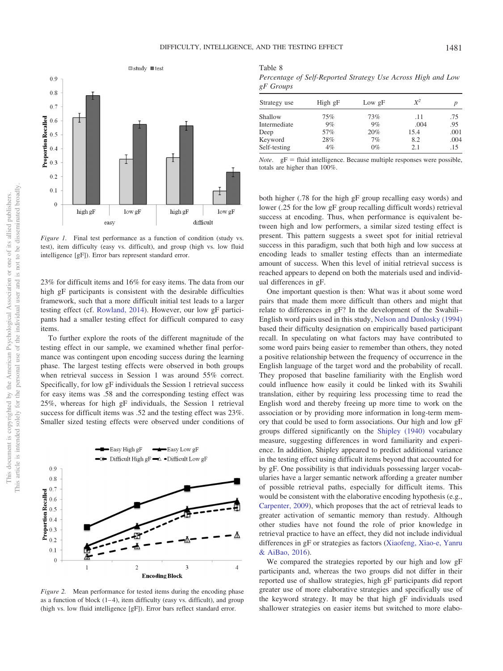Table 8



*Figure 1.* Final test performance as a function of condition (study vs. test), item difficulty (easy vs. difficult), and group (high vs. low fluid intelligence [gF]). Error bars represent standard error.

23% for difficult items and 16% for easy items. The data from our high gF participants is consistent with the desirable difficulties framework, such that a more difficult initial test leads to a larger testing effect (cf. Rowland, 2014). However, our low gF participants had a smaller testing effect for difficult compared to easy items.

To further explore the roots of the different magnitude of the testing effect in our sample, we examined whether final performance was contingent upon encoding success during the learning phase. The largest testing effects were observed in both groups when retrieval success in Session 1 was around 55% correct. Specifically, for low gF individuals the Session 1 retrieval success for easy items was .58 and the corresponding testing effect was 25%, whereas for high gF individuals, the Session 1 retrieval success for difficult items was .52 and the testing effect was 23%. Smaller sized testing effects were observed under conditions of



*Figure 2.* Mean performance for tested items during the encoding phase as a function of block  $(1-4)$ , item difficulty (easy vs. difficult), and group (high vs. low fluid intelligence [gF]). Error bars reflect standard error.

|           | Percentage of Self-Reported Strategy Use Across High and Low |  |  |  |
|-----------|--------------------------------------------------------------|--|--|--|
| gF Groups |                                                              |  |  |  |

| Strategy use | High gF | Low gF | $X^2$ | р    |
|--------------|---------|--------|-------|------|
| Shallow      | 75%     | 73%    | .11   | .75  |
| Intermediate | 9%      | 9%     | .004  | .95  |
| Deep         | 57%     | 20%    | 15.4  | .001 |
| Keyword      | 28%     | 7%     | 8.2   | .004 |
| Self-testing | $4\%$   | $0\%$  | 2.1   | .15  |
|              |         |        |       |      |

*Note.*  $gF =$  fluid intelligence. Because multiple responses were possible, totals are higher than 100%.

both higher (.78 for the high gF group recalling easy words) and lower (.25 for the low gF group recalling difficult words) retrieval success at encoding. Thus, when performance is equivalent between high and low performers, a similar sized testing effect is present. This pattern suggests a sweet spot for initial retrieval success in this paradigm, such that both high and low success at encoding leads to smaller testing effects than an intermediate amount of success. When this level of initial retrieval success is reached appears to depend on both the materials used and individual differences in gF.

One important question is then: What was it about some word pairs that made them more difficult than others and might that relate to differences in gF? In the development of the Swahili– English word pairs used in this study, Nelson and Dunlosky (1994) based their difficulty designation on empirically based participant recall. In speculating on what factors may have contributed to some word pairs being easier to remember than others, they noted a positive relationship between the frequency of occurrence in the English language of the target word and the probability of recall. They proposed that baseline familiarity with the English word could influence how easily it could be linked with its Swahili translation, either by requiring less processing time to read the English word and thereby freeing up more time to work on the association or by providing more information in long-term memory that could be used to form associations. Our high and low gF groups differed significantly on the Shipley (1940) vocabulary measure, suggesting differences in word familiarity and experience. In addition, Shipley appeared to predict additional variance in the testing effect using difficult items beyond that accounted for by gF. One possibility is that individuals possessing larger vocabularies have a larger semantic network affording a greater number of possible retrieval paths, especially for difficult items. This would be consistent with the elaborative encoding hypothesis (e.g., Carpenter, 2009), which proposes that the act of retrieval leads to greater activation of semantic memory than restudy. Although other studies have not found the role of prior knowledge in retrieval practice to have an effect, they did not include individual differences in gF or strategies as factors (Xiaofeng, Xiao-e, Yanru & AiBao, 2016).

We compared the strategies reported by our high and low gF participants and, whereas the two groups did not differ in their reported use of shallow strategies, high gF participants did report greater use of more elaborative strategies and specifically use of the keyword strategy. It may be that high gF individuals used shallower strategies on easier items but switched to more elabo-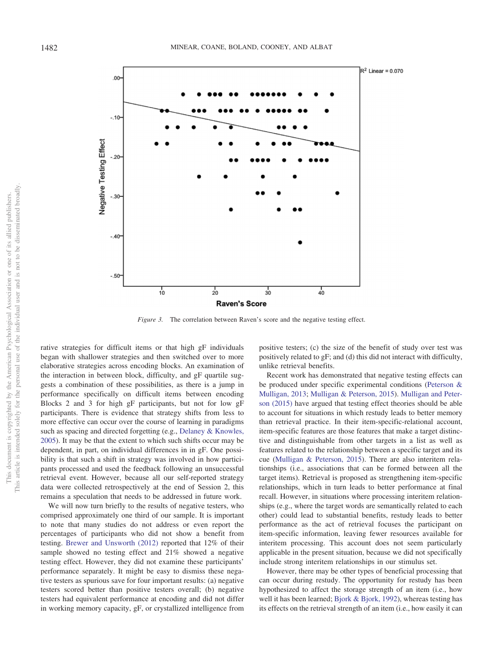

*Figure 3.* The correlation between Raven's score and the negative testing effect.

rative strategies for difficult items or that high gF individuals began with shallower strategies and then switched over to more elaborative strategies across encoding blocks. An examination of the interaction in between block, difficulty, and gF quartile suggests a combination of these possibilities, as there is a jump in performance specifically on difficult items between encoding Blocks 2 and 3 for high gF participants, but not for low gF participants. There is evidence that strategy shifts from less to more effective can occur over the course of learning in paradigms such as spacing and directed forgetting (e.g., Delaney & Knowles, 2005). It may be that the extent to which such shifts occur may be dependent, in part, on individual differences in in gF. One possibility is that such a shift in strategy was involved in how participants processed and used the feedback following an unsuccessful retrieval event. However, because all our self-reported strategy data were collected retrospectively at the end of Session 2, this remains a speculation that needs to be addressed in future work.

We will now turn briefly to the results of negative testers, who comprised approximately one third of our sample. It is important to note that many studies do not address or even report the percentages of participants who did not show a benefit from testing. Brewer and Unsworth (2012) reported that 12% of their sample showed no testing effect and 21% showed a negative testing effect. However, they did not examine these participants' performance separately. It might be easy to dismiss these negative testers as spurious save for four important results: (a) negative testers scored better than positive testers overall; (b) negative testers had equivalent performance at encoding and did not differ in working memory capacity, gF, or crystallized intelligence from

positive testers; (c) the size of the benefit of study over test was positively related to gF; and (d) this did not interact with difficulty, unlike retrieval benefits.

Recent work has demonstrated that negative testing effects can be produced under specific experimental conditions (Peterson & Mulligan, 2013; Mulligan & Peterson, 2015). Mulligan and Peterson (2015) have argued that testing effect theories should be able to account for situations in which restudy leads to better memory than retrieval practice. In their item-specific-relational account, item-specific features are those features that make a target distinctive and distinguishable from other targets in a list as well as features related to the relationship between a specific target and its cue (Mulligan & Peterson, 2015). There are also interitem relationships (i.e., associations that can be formed between all the target items). Retrieval is proposed as strengthening item-specific relationships, which in turn leads to better performance at final recall. However, in situations where processing interitem relationships (e.g., where the target words are semantically related to each other) could lead to substantial benefits, restudy leads to better performance as the act of retrieval focuses the participant on item-specific information, leaving fewer resources available for interitem processing. This account does not seem particularly applicable in the present situation, because we did not specifically include strong interitem relationships in our stimulus set.

However, there may be other types of beneficial processing that can occur during restudy. The opportunity for restudy has been hypothesized to affect the storage strength of an item (i.e., how well it has been learned; Bjork & Bjork, 1992), whereas testing has its effects on the retrieval strength of an item (i.e., how easily it can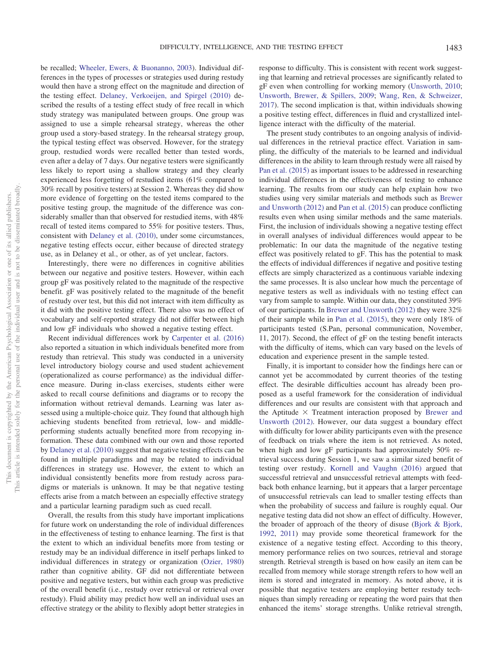be recalled; Wheeler, Ewers, & Buonanno, 2003). Individual differences in the types of processes or strategies used during restudy would then have a strong effect on the magnitude and direction of the testing effect. Delaney, Verkoeijen, and Spirgel (2010) described the results of a testing effect study of free recall in which study strategy was manipulated between groups. One group was assigned to use a simple rehearsal strategy, whereas the other group used a story-based strategy. In the rehearsal strategy group, the typical testing effect was observed. However, for the strategy group, restudied words were recalled better than tested words, even after a delay of 7 days. Our negative testers were significantly less likely to report using a shallow strategy and they clearly experienced less forgetting of restudied items (61% compared to 30% recall by positive testers) at Session 2. Whereas they did show more evidence of forgetting on the tested items compared to the positive testing group, the magnitude of the difference was considerably smaller than that observed for restudied items, with 48% recall of tested items compared to 55% for positive testers. Thus, consistent with Delaney et al. (2010), under some circumstances, negative testing effects occur, either because of directed strategy use, as in Delaney et al., or other, as of yet unclear, factors.

Interestingly, there were no differences in cognitive abilities between our negative and positive testers. However, within each group gF was positively related to the magnitude of the respective benefit. gF was positively related to the magnitude of the benefit of restudy over test, but this did not interact with item difficulty as it did with the positive testing effect. There also was no effect of vocabulary and self-reported strategy did not differ between high and low gF individuals who showed a negative testing effect.

Recent individual differences work by Carpenter et al. (2016) also reported a situation in which individuals benefited more from restudy than retrieval. This study was conducted in a university level introductory biology course and used student achievement (operationalized as course performance) as the individual difference measure. During in-class exercises, students either were asked to recall course definitions and diagrams or to recopy the information without retrieval demands. Learning was later assessed using a multiple-choice quiz. They found that although high achieving students benefited from retrieval, low- and middleperforming students actually benefited more from recopying information. These data combined with our own and those reported by Delaney et al. (2010) suggest that negative testing effects can be found in multiple paradigms and may be related to individual differences in strategy use. However, the extent to which an individual consistently benefits more from restudy across paradigms or materials is unknown. It may be that negative testing effects arise from a match between an especially effective strategy and a particular learning paradigm such as cued recall.

Overall, the results from this study have important implications for future work on understanding the role of individual differences in the effectiveness of testing to enhance learning. The first is that the extent to which an individual benefits more from testing or restudy may be an individual difference in itself perhaps linked to individual differences in strategy or organization (Ozier, 1980) rather than cognitive ability. GF did not differentiate between positive and negative testers, but within each group was predictive of the overall benefit (i.e., restudy over retrieval or retrieval over restudy). Fluid ability may predict how well an individual uses an effective strategy or the ability to flexibly adopt better strategies in response to difficulty. This is consistent with recent work suggesting that learning and retrieval processes are significantly related to gF even when controlling for working memory (Unsworth, 2010; Unsworth, Brewer, & Spillers, 2009; Wang, Ren, & Schweizer, 2017). The second implication is that, within individuals showing a positive testing effect, differences in fluid and crystallized intelligence interact with the difficulty of the material.

The present study contributes to an ongoing analysis of individual differences in the retrieval practice effect. Variation in sampling, the difficulty of the materials to be learned and individual differences in the ability to learn through restudy were all raised by Pan et al. (2015) as important issues to be addressed in researching individual differences in the effectiveness of testing to enhance learning. The results from our study can help explain how two studies using very similar materials and methods such as Brewer and Unsworth (2012) and Pan et al. (2015) can produce conflicting results even when using similar methods and the same materials. First, the inclusion of individuals showing a negative testing effect in overall analyses of individual differences would appear to be problematic: In our data the magnitude of the negative testing effect was positively related to gF. This has the potential to mask the effects of individual differences if negative and positive testing effects are simply characterized as a continuous variable indexing the same processes. It is also unclear how much the percentage of negative testers as well as individuals with no testing effect can vary from sample to sample. Within our data, they constituted 39% of our participants. In Brewer and Unsworth (2012) they were 32% of their sample while in Pan et al. (2015), they were only 18% of participants tested (S.Pan, personal communication, November, 11, 2017). Second, the effect of gF on the testing benefit interacts with the difficulty of items, which can vary based on the levels of education and experience present in the sample tested.

Finally, it is important to consider how the findings here can or cannot yet be accommodated by current theories of the testing effect. The desirable difficulties account has already been proposed as a useful framework for the consideration of individual differences and our results are consistent with that approach and the Aptitude  $\times$  Treatment interaction proposed by Brewer and Unsworth (2012). However, our data suggest a boundary effect with difficulty for lower ability participants even with the presence of feedback on trials where the item is not retrieved. As noted, when high and low gF participants had approximately 50% retrieval success during Session 1, we saw a similar sized benefit of testing over restudy. Kornell and Vaughn (2016) argued that successful retrieval and unsuccessful retrieval attempts with feedback both enhance learning, but it appears that a larger percentage of unsuccessful retrievals can lead to smaller testing effects than when the probability of success and failure is roughly equal. Our negative testing data did not show an effect of difficulty. However, the broader of approach of the theory of disuse (Bjork & Bjork, 1992, 2011) may provide some theoretical framework for the existence of a negative testing effect. According to this theory, memory performance relies on two sources, retrieval and storage strength. Retrieval strength is based on how easily an item can be recalled from memory while storage strength refers to how well an item is stored and integrated in memory. As noted above, it is possible that negative testers are employing better restudy techniques than simply rereading or repeating the word pairs that then enhanced the items' storage strengths. Unlike retrieval strength,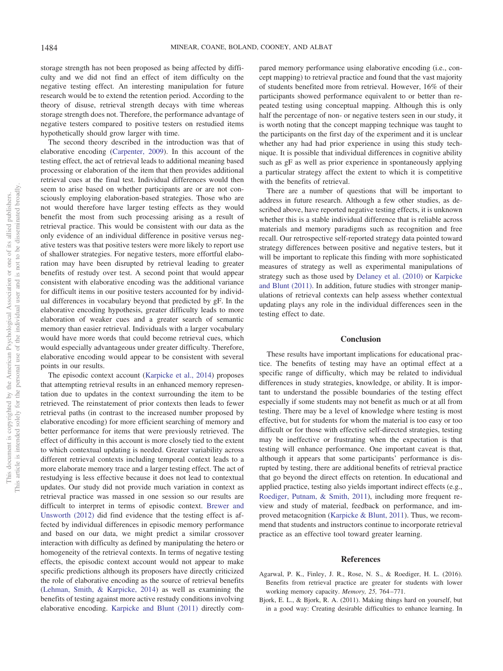storage strength has not been proposed as being affected by difficulty and we did not find an effect of item difficulty on the negative testing effect. An interesting manipulation for future research would be to extend the retention period. According to the theory of disuse, retrieval strength decays with time whereas storage strength does not. Therefore, the performance advantage of negative testers compared to positive testers on restudied items hypothetically should grow larger with time.

The second theory described in the introduction was that of elaborative encoding (Carpenter, 2009). In this account of the testing effect, the act of retrieval leads to additional meaning based processing or elaboration of the item that then provides additional retrieval cues at the final test. Individual differences would then seem to arise based on whether participants are or are not consciously employing elaboration-based strategies. Those who are not would therefore have larger testing effects as they would benefit the most from such processing arising as a result of retrieval practice. This would be consistent with our data as the only evidence of an individual difference in positive versus negative testers was that positive testers were more likely to report use of shallower strategies. For negative testers, more effortful elaboration may have been disrupted by retrieval leading to greater benefits of restudy over test. A second point that would appear consistent with elaborative encoding was the additional variance for difficult items in our positive testers accounted for by individual differences in vocabulary beyond that predicted by gF. In the elaborative encoding hypothesis, greater difficulty leads to more elaboration of weaker cues and a greater search of semantic memory than easier retrieval. Individuals with a larger vocabulary would have more words that could become retrieval cues, which would especially advantageous under greater difficulty. Therefore, elaborative encoding would appear to be consistent with several points in our results.

The episodic context account (Karpicke et al., 2014) proposes that attempting retrieval results in an enhanced memory representation due to updates in the context surrounding the item to be retrieved. The reinstatement of prior contexts then leads to fewer retrieval paths (in contrast to the increased number proposed by elaborative encoding) for more efficient searching of memory and better performance for items that were previously retrieved. The effect of difficulty in this account is more closely tied to the extent to which contextual updating is needed. Greater variability across different retrieval contexts including temporal context leads to a more elaborate memory trace and a larger testing effect. The act of restudying is less effective because it does not lead to contextual updates. Our study did not provide much variation in context as retrieval practice was massed in one session so our results are difficult to interpret in terms of episodic context. Brewer and Unsworth (2012) did find evidence that the testing effect is affected by individual differences in episodic memory performance and based on our data, we might predict a similar crossover interaction with difficulty as defined by manipulating the hetero or homogeneity of the retrieval contexts. In terms of negative testing effects, the episodic context account would not appear to make specific predictions although its proposers have directly criticized the role of elaborative encoding as the source of retrieval benefits (Lehman, Smith, & Karpicke, 2014) as well as examining the benefits of testing against more active restudy conditions involving elaborative encoding. Karpicke and Blunt (2011) directly compared memory performance using elaborative encoding (i.e., concept mapping) to retrieval practice and found that the vast majority of students benefited more from retrieval. However, 16% of their participants showed performance equivalent to or better than repeated testing using conceptual mapping. Although this is only half the percentage of non- or negative testers seen in our study, it is worth noting that the concept mapping technique was taught to the participants on the first day of the experiment and it is unclear whether any had had prior experience in using this study technique. It is possible that individual differences in cognitive ability such as gF as well as prior experience in spontaneously applying a particular strategy affect the extent to which it is competitive with the benefits of retrieval.

There are a number of questions that will be important to address in future research. Although a few other studies, as described above, have reported negative testing effects, it is unknown whether this is a stable individual difference that is reliable across materials and memory paradigms such as recognition and free recall. Our retrospective self-reported strategy data pointed toward strategy differences between positive and negative testers, but it will be important to replicate this finding with more sophisticated measures of strategy as well as experimental manipulations of strategy such as those used by Delaney et al. (2010) or Karpicke and Blunt (2011). In addition, future studies with stronger manipulations of retrieval contexts can help assess whether contextual updating plays any role in the individual differences seen in the testing effect to date.

#### **Conclusion**

These results have important implications for educational practice. The benefits of testing may have an optimal effect at a specific range of difficulty, which may be related to individual differences in study strategies, knowledge, or ability. It is important to understand the possible boundaries of the testing effect especially if some students may not benefit as much or at all from testing. There may be a level of knowledge where testing is most effective, but for students for whom the material is too easy or too difficult or for those with effective self-directed strategies, testing may be ineffective or frustrating when the expectation is that testing will enhance performance. One important caveat is that, although it appears that some participants' performance is disrupted by testing, there are additional benefits of retrieval practice that go beyond the direct effects on retention. In educational and applied practice, testing also yields important indirect effects (e.g., Roediger, Putnam, & Smith, 2011), including more frequent review and study of material, feedback on performance, and improved metacognition (Karpicke & Blunt, 2011). Thus, we recommend that students and instructors continue to incorporate retrieval practice as an effective tool toward greater learning.

#### **References**

- Agarwal, P. K., Finley, J. R., Rose, N. S., & Roediger, H. L. (2016). Benefits from retrieval practice are greater for students with lower working memory capacity. *Memory, 25,* 764 –771.
- Bjork, E. L., & Bjork, R. A. (2011). Making things hard on yourself, but in a good way: Creating desirable difficulties to enhance learning. In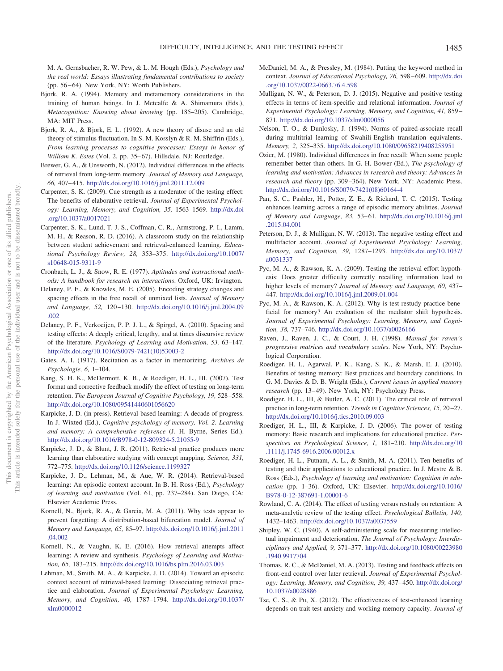M. A. Gernsbacher, R. W. Pew, & L. M. Hough (Eds.), *Psychology and the real world: Essays illustrating fundamental contributions to society* (pp. 56–64). New York, NY: Worth Publishers.

- Bjork, R. A. (1994). Memory and metamemory considerations in the training of human beings. In J. Metcalfe & A. Shimamura (Eds.), *Metacognition: Knowing about knowing* (pp. 185–205). Cambridge, MA: MIT Press.
- Bjork, R. A., & Bjork, E. L. (1992). A new theory of disuse and an old theory of stimulus fluctuation. In S. M. Kosslyn & R. M. Shiffrin (Eds.), *From learning processes to cognitive processes: Essays in honor of William K. Estes* (Vol. 2, pp. 35–67). Hillsdale, NJ: Routledge.
- Brewer, G. A., & Unsworth, N. (2012). Individual differences in the effects of retrieval from long-term memory. *Journal of Memory and Language, 66,* 407– 415. http://dx.doi.org/10.1016/j.jml.2011.12.009
- Carpenter, S. K. (2009). Cue strength as a moderator of the testing effect: The benefits of elaborative retrieval. *Journal of Experimental Psychology: Learning, Memory, and Cognition, 35,* 1563–1569. http://dx.doi .org/10.1037/a0017021
- Carpenter, S. K., Lund, T. J. S., Coffman, C. R., Armstrong, P. I., Lamm, M. H., & Reason, R. D. (2016). A classroom study on the relationship between student achievement and retrieval-enhanced learning. *Educational Psychology Review, 28,* 353–375. http://dx.doi.org/10.1007/ s10648-015-9311-9
- Cronbach, L. J., & Snow, R. E. (1977). *Aptitudes and instructional methods: A handbook for research on interactions*. Oxford, UK: Irvington.
- Delaney, P. F., & Knowles, M. E. (2005). Encoding strategy changes and spacing effects in the free recall of unmixed lists. *Journal of Memory and Language, 52,* 120 –130. http://dx.doi.org/10.1016/j.jml.2004.09 .002
- Delaney, P. F., Verkoeijen, P. P. J. L., & Spirgel, A. (2010). Spacing and testing effects: A deeply critical, lengthy, and at times discursive review of the literature. *Psychology of Learning and Motivation, 53,* 63–147. http://dx.doi.org/10.1016/S0079-7421(10)53003-2
- Gates, A. I. (1917). Recitation as a factor in memorizing. *Archives de Psychologie, 6,* 1–104.
- Kang, S. H. K., McDermott, K. B., & Roediger, H. L., III. (2007). Test format and corrective feedback modify the effect of testing on long-term retention. *The European Journal of Cognitive Psychology, 19,* 528 –558. http://dx.doi.org/10.1080/09541440601056620
- Karpicke, J. D. (in press). Retrieval-based learning: A decade of progress. In J. Wixted (Ed.), *Cognitive psychology of memory, Vol. 2*. *Learning and memory: A comprehensive reference* (J. H. Byrne, Series Ed.). http://dx.doi.org/10.1016/B978-0-12-809324-5.21055-9
- Karpicke, J. D., & Blunt, J. R. (2011). Retrieval practice produces more learning than elaborative studying with concept mapping. *Science, 331,* 772–775. http://dx.doi.org/10.1126/science.1199327
- Karpicke, J. D., Lehman, M., & Aue, W. R. (2014). Retrieval-based learning: An episodic context account. In B. H. Ross (Ed.), *Psychology of learning and motivation* (Vol. 61, pp. 237–284). San Diego, CA: Elsevier Academic Press.
- Kornell, N., Bjork, R. A., & Garcia, M. A. (2011). Why tests appear to prevent forgetting: A distribution-based bifurcation model. *Journal of Memory and Language, 65,* 85–97. http://dx.doi.org/10.1016/j.jml.2011 .04.002
- Kornell, N., & Vaughn, K. E. (2016). How retrieval attempts affect learning: A review and synthesis. *Psychology of Learning and Motivation, 65,* 183–215. http://dx.doi.org/10.1016/bs.plm.2016.03.003
- Lehman, M., Smith, M. A., & Karpicke, J. D. (2014). Toward an episodic context account of retrieval-based learning: Dissociating retrieval practice and elaboration. *Journal of Experimental Psychology: Learning, Memory, and Cognition, 40,* 1787–1794. http://dx.doi.org/10.1037/ xlm0000012
- McDaniel, M. A., & Pressley, M. (1984). Putting the keyword method in context. *Journal of Educational Psychology, 76,* 598 – 609. http://dx.doi .org/10.1037/0022-0663.76.4.598
- Mulligan, N. W., & Peterson, D. J. (2015). Negative and positive testing effects in terms of item-specific and relational information. *Journal of Experimental Psychology: Learning, Memory, and Cognition, 41,* 859 – 871. http://dx.doi.org/10.1037/xlm0000056
- Nelson, T. O., & Dunlosky, J. (1994). Norms of paired-associate recall during multitrial learning of Swahili-English translation equivalents. *Memory, 2,* 325–335. http://dx.doi.org/10.1080/09658219408258951
- Ozier, M. (1980). Individual differences in free recall: When some people remember better than others. In G. H. Bower (Ed.), *The psychology of learning and motivation: Advances in research and theory: Advances in research and theory* (pp. 309 –364). New York, NY: Academic Press. http://dx.doi.org/10.1016/S0079-7421(08)60164-4
- Pan, S. C., Pashler, H., Potter, Z. E., & Rickard, T. C. (2015). Testing enhances learning across a range of episodic memory abilities. *Journal of Memory and Language, 83,* 53– 61. http://dx.doi.org/10.1016/j.jml .2015.04.001
- Peterson, D. J., & Mulligan, N. W. (2013). The negative testing effect and multifactor account. *Journal of Experimental Psychology: Learning, Memory, and Cognition, 39,* 1287–1293. http://dx.doi.org/10.1037/ a0031337
- Pyc, M. A., & Rawson, K. A. (2009). Testing the retrieval effort hypothesis: Does greater difficulty correctly recalling information lead to higher levels of memory? *Journal of Memory and Language, 60,* 437– 447. http://dx.doi.org/10.1016/j.jml.2009.01.004
- Pyc, M. A., & Rawson, K. A. (2012). Why is test-restudy practice beneficial for memory? An evaluation of the mediator shift hypothesis. *Journal of Experimental Psychology: Learning, Memory, and Cognition, 38,* 737–746. http://dx.doi.org/10.1037/a0026166
- Raven, J., Raven, J. C., & Court, J. H. (1998). *Manual for raven's progressive matrices and vocabulary scales*. New York, NY: Psychological Corporation.
- Roediger, H. I., Agarwal, P. K., Kang, S. K., & Marsh, E. J. (2010). Benefits of testing memory: Best practices and boundary conditions. In G. M. Davies & D. B. Wright (Eds.), *Current issues in applied memory* research (pp. 13-49). New York, NY: Psychology Press.
- Roediger, H. L., III, & Butler, A. C. (2011). The critical role of retrieval practice in long-term retention. *Trends in Cognitive Sciences, 15, 20-27*. http://dx.doi.org/10.1016/j.tics.2010.09.003
- Roediger, H. L., III, & Karpicke, J. D. (2006). The power of testing memory: Basic research and implications for educational practice. *Perspectives on Psychological Science, 1,* 181–210. http://dx.doi.org/10 .1111/j.1745-6916.2006.00012.x
- Roediger, H. L., Putnam, A. L., & Smith, M. A. (2011). Ten benefits of testing and their applications to educational practice. In J. Mestre & B. Ross (Eds.), *Psychology of learning and motivation: Cognition in education* (pp. 1–36). Oxford, UK: Elsevier. http://dx.doi.org/10.1016/ B978-0-12-387691-1.00001-6
- Rowland, C. A. (2014). The effect of testing versus restudy on retention: A meta-analytic review of the testing effect. *Psychological Bulletin, 140,* 1432–1463. http://dx.doi.org/10.1037/a0037559
- Shipley, W. C. (1940). A self-administering scale for measuring intellectual impairment and deterioration. *The Journal of Psychology: Interdisciplinary and Applied, 9,* 371–377. http://dx.doi.org/10.1080/00223980 .1940.9917704
- Thomas, R. C., & McDaniel, M. A. (2013). Testing and feedback effects on front-end control over later retrieval. *Journal of Experimental Psychology: Learning, Memory, and Cognition, 39,* 437– 450. http://dx.doi.org/ 10.1037/a0028886
- Tse, C. S., & Pu, X. (2012). The effectiveness of test-enhanced learning depends on trait test anxiety and working-memory capacity. *Journal of*